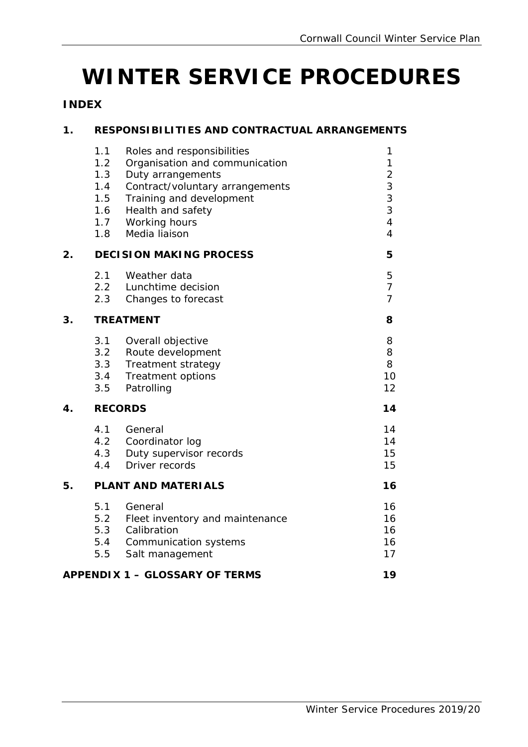# **WINTER SERVICE PROCEDURES**

# **INDEX**

# **1. RESPONSIBILITIES AND CONTRACTUAL ARRANGEMENTS**

|    | 1.1<br>1.2<br>1.3<br>1.4<br>1.5<br>1.6<br>1.7<br>1.8 | Roles and responsibilities<br>Organisation and communication<br>Duty arrangements<br>Contract/voluntary arrangements<br>Training and development<br>Health and safety<br>Working hours<br>Media liaison | 1<br>$\mathbf{1}$<br>$\begin{array}{c} 2 \\ 3 \\ 3 \\ 3 \end{array}$<br>$\overline{\mathbf{4}}$<br>$\overline{4}$ |  |
|----|------------------------------------------------------|---------------------------------------------------------------------------------------------------------------------------------------------------------------------------------------------------------|-------------------------------------------------------------------------------------------------------------------|--|
| 2. |                                                      | <b>DECISION MAKING PROCESS</b>                                                                                                                                                                          | 5                                                                                                                 |  |
|    | 2.1<br>2.2<br>2.3                                    | Weather data<br>Lunchtime decision<br>Changes to forecast                                                                                                                                               | 5<br>$\overline{7}$<br>$\overline{7}$                                                                             |  |
| 3. |                                                      | <b>TREATMENT</b>                                                                                                                                                                                        |                                                                                                                   |  |
|    | 3.1<br>3.2<br>3.3<br>3.4<br>3.5                      | Overall objective<br>Route development<br>Treatment strategy<br>Treatment options<br>Patrolling                                                                                                         | 8<br>8<br>8<br>10<br>12                                                                                           |  |
| 4. |                                                      | <b>RECORDS</b>                                                                                                                                                                                          |                                                                                                                   |  |
|    | 4.1<br>4.2<br>4.3<br>4.4                             | General<br>Coordinator log<br>Duty supervisor records<br>Driver records                                                                                                                                 | 14<br>14<br>15<br>15                                                                                              |  |
| 5. |                                                      | <b>PLANT AND MATERIALS</b>                                                                                                                                                                              | 16                                                                                                                |  |
|    | 5.1<br>5.2<br>5.3<br>5.4<br>5.5                      | General<br>Fleet inventory and maintenance<br>Calibration<br>Communication systems<br>Salt management                                                                                                   | 16<br>16<br>16<br>16<br>17                                                                                        |  |
|    |                                                      | <b>APPENDIX 1 - GLOSSARY OF TERMS</b>                                                                                                                                                                   | 19                                                                                                                |  |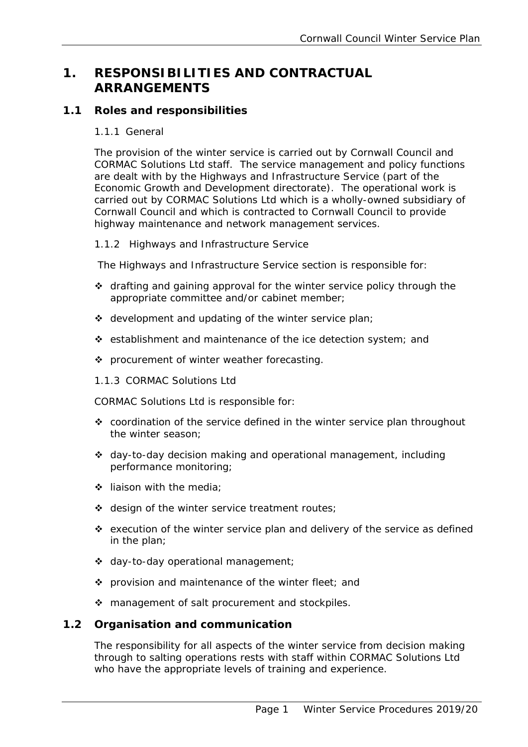# **1. RESPONSIBILITIES AND CONTRACTUAL ARRANGEMENTS**

# **1.1 Roles and responsibilities**

# 1.1.1 General

The provision of the winter service is carried out by Cornwall Council and CORMAC Solutions Ltd staff. The service management and policy functions are dealt with by the Highways and Infrastructure Service (part of the Economic Growth and Development directorate). The operational work is carried out by CORMAC Solutions Ltd which is a wholly-owned subsidiary of Cornwall Council and which is contracted to Cornwall Council to provide highway maintenance and network management services.

# 1.1.2 Highways and Infrastructure Service

The Highways and Infrastructure Service section is responsible for:

- \* drafting and gaining approval for the winter service policy through the appropriate committee and/or cabinet member;
- $\div$  development and updating of the winter service plan;
- establishment and maintenance of the ice detection system; and
- ❖ procurement of winter weather forecasting.
- 1.1.3 CORMAC Solutions Ltd

CORMAC Solutions Ltd is responsible for:

- ❖ coordination of the service defined in the winter service plan throughout the winter season;
- day-to-day decision making and operational management, including performance monitoring;
- $\div$  liaison with the media;
- $\div$  design of the winter service treatment routes;
- $\div$  execution of the winter service plan and delivery of the service as defined in the plan;
- day-to-day operational management;
- ❖ provision and maintenance of the winter fleet; and
- ❖ management of salt procurement and stockpiles.

# **1.2 Organisation and communication**

The responsibility for all aspects of the winter service from decision making through to salting operations rests with staff within CORMAC Solutions Ltd who have the appropriate levels of training and experience.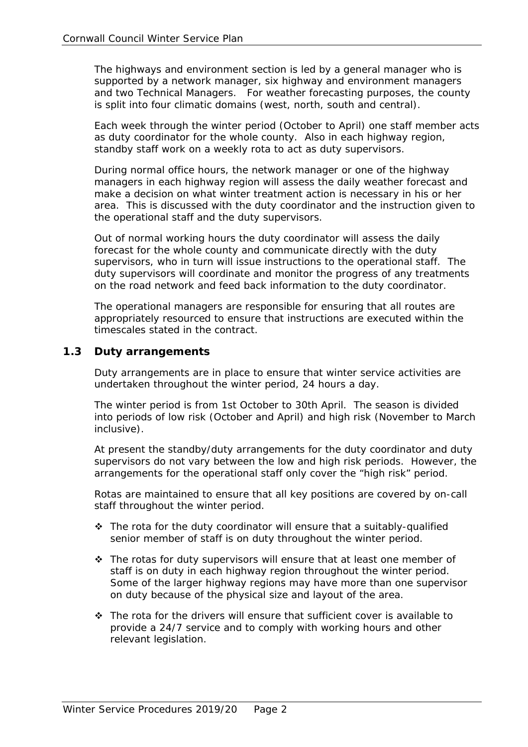<span id="page-2-0"></span> and two Technical Managers. For weather forecasting purposes, the county The highways and environment section is led by a general manager who is supported by a network manager, six highway and environment managers is split into four climatic domains (west, north, south and central).

Each week through the winter period (October to April) one staff member acts as duty coordinator for the whole county. Also in each highway region, standby staff work on a weekly rota to act as duty supervisors.

During normal office hours, the network manager or one of the highway managers in each highway region will assess the daily weather forecast and make a decision on what winter treatment action is necessary in his or her area. This is discussed with the duty coordinator and the instruction given to the operational staff and the duty supervisors.

Out of normal working hours the duty coordinator will assess the daily forecast for the whole county and communicate directly with the duty supervisors, who in turn will issue instructions to the operational staff. The duty supervisors will coordinate and monitor the progress of any treatments on the road network and feed back information to the duty coordinator.

The operational managers are responsible for ensuring that all routes are appropriately resourced to ensure that instructions are executed within the timescales stated in the contract.

#### **1.3 Duty arrangements**

Duty arrangements are in place to ensure that winter service activities are undertaken throughout the winter period, 24 hours a day.

The winter period is from 1st October to 30th April. The season is divided into periods of low risk (October and April) and high risk (November to March inclusive).

At present the standby/duty arrangements for the duty coordinator and duty supervisors do not vary between the low and high risk periods. However, the arrangements for the operational staff only cover the "high risk" period.

 Rotas are maintained to ensure that all key positions are covered by on-call staff throughout the winter period.

- ◆ The rota for the duty coordinator will ensure that a suitably-qualified senior member of staff is on duty throughout the winter period.
- ◆ The rotas for duty supervisors will ensure that at least one member of staff is on duty in each highway region throughout the winter period. Start is situally in earth and regions may have more than one supervisor on duty because of the physical size and layout of the area.
- $\hat{P}$  The rota for the drivers will ensure that sufficient cover is available to provide a 24/7 service and to comply with working hours and other relevant legislation.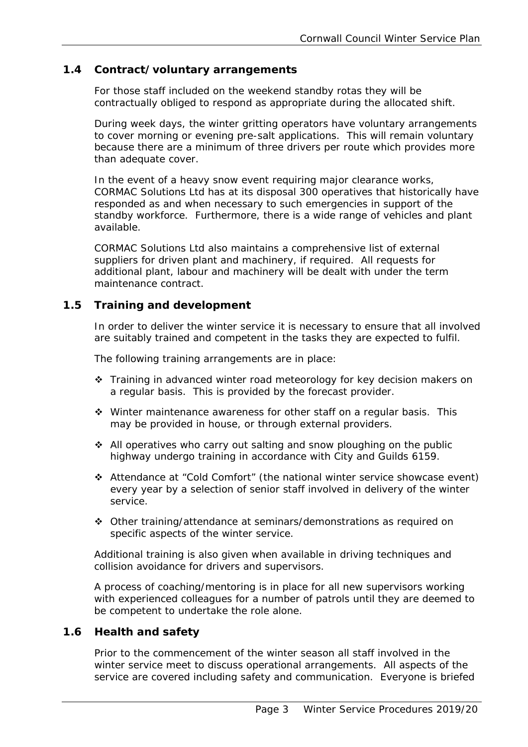# **1.4 Contract/voluntary arrangements**

For those staff included on the weekend standby rotas they will be contractually obliged to respond as appropriate during the allocated shift.

During week days, the winter gritting operators have voluntary arrangements to cover morning or evening pre-salt applications. This will remain voluntary because there are a minimum of three drivers per route which provides more than adequate cover.

In the event of a heavy snow event requiring major clearance works, CORMAC Solutions Ltd has at its disposal 300 operatives that historically have responded as and when necessary to such emergencies in support of the standby workforce. Furthermore, there is a wide range of vehicles and plant available.

CORMAC Solutions Ltd also maintains a comprehensive list of external suppliers for driven plant and machinery, if required. All requests for additional plant, labour and machinery will be dealt with under the term maintenance contract.

# **1.5 Training and development**

In order to deliver the winter service it is necessary to ensure that all involved are suitably trained and competent in the tasks they are expected to fulfil.

The following training arrangements are in place:

- Training in advanced winter road meteorology for key decision makers on a regular basis. This is provided by the forecast provider.
- Winter maintenance awareness for other staff on a regular basis. This may be provided in house, or through external providers.
- $\triangle$  All operatives who carry out salting and snow ploughing on the public highway undergo training in accordance with City and Guilds 6159.
- Attendance at "Cold Comfort" (the national winter service showcase event) every year by a selection of senior staff involved in delivery of the winter service.
- Other training/attendance at seminars/demonstrations as required on specific aspects of the winter service.

Additional training is also given when available in driving techniques and collision avoidance for drivers and supervisors.

A process of coaching/mentoring is in place for all new supervisors working with experienced colleagues for a number of patrols until they are deemed to be competent to undertake the role alone.

# **1.6 Health and safety**

Prior to the commencement of the winter season all staff involved in the winter service meet to discuss operational arrangements. All aspects of the service are covered including safety and communication. Everyone is briefed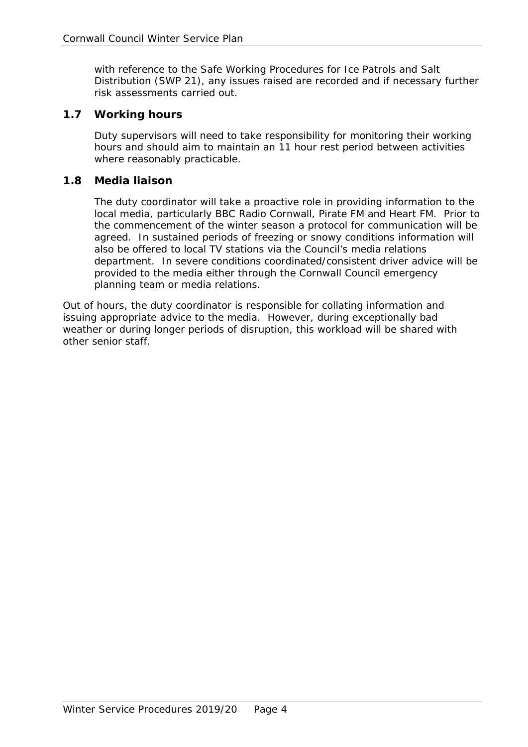with reference to the Safe Working Procedures for Ice Patrols and Salt Distribution (SWP 21), any issues raised are recorded and if necessary further risk assessments carried out.

# **1.7 Working hours**

Duty supervisors will need to take responsibility for monitoring their working hours and should aim to maintain an 11 hour rest period between activities where reasonably practicable.

# **1.8 Media liaison**

The duty coordinator will take a proactive role in providing information to the local media, particularly BBC Radio Cornwall, Pirate FM and Heart FM. Prior to the commencement of the winter season a protocol for communication will be agreed. In sustained periods of freezing or snowy conditions information will also be offered to local TV stations via the Council's media relations department. In severe conditions coordinated/consistent driver advice will be provided to the media either through the Cornwall Council emergency planning team or media relations.

 issuing appropriate advice to the media. However, during exceptionally bad Out of hours, the duty coordinator is responsible for collating information and weather or during longer periods of disruption, this workload will be shared with other senior staff.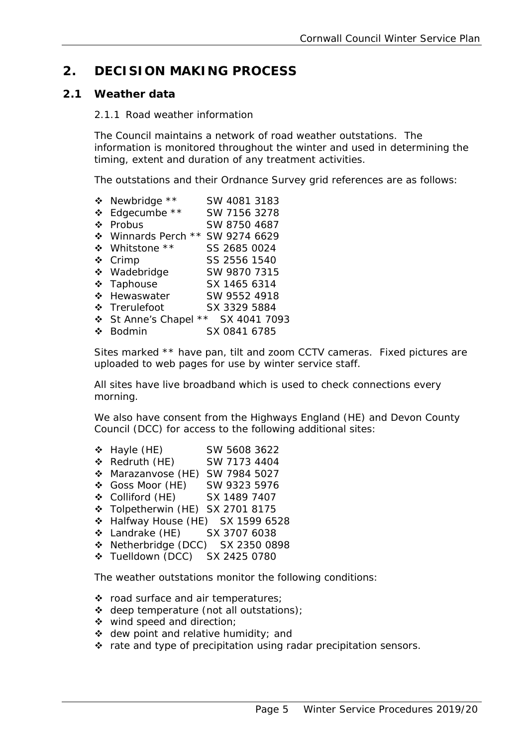# **2. DECISION MAKING PROCESS**

# **2.1 Weather data**

#### 2.1.1 Road weather information

The Council maintains a network of road weather outstations. The information is monitored throughout the winter and used in determining the timing, extent and duration of any treatment activities.

The outstations and their Ordnance Survey grid references are as follows:

| ❖            | Newbridge **                       | SW 4081 3183 |
|--------------|------------------------------------|--------------|
| ❖            | Edgecumbe **                       | SW 7156 3278 |
| $\mathbf{A}$ | Probus                             | SW 8750 4687 |
|              | ❖ Winnards Perch<br>$\star \star$  | SW 9274 6629 |
|              | ❖ Whitstone **                     | SS 2685 0024 |
|              | ❖ Crimp                            | SS 2556 1540 |
|              | * Wadebridge                       | SW 9870 7315 |
|              | ❖ Taphouse                         | SX 1465 6314 |
| $\mathbf{A}$ | Hewaswater                         | SW 9552 4918 |
|              | ❖ Trerulefoot                      | SX 3329 5884 |
|              | $\star\star$<br>❖ St Anne's Chapel | SX 4041 7093 |
|              | <b>Bodmin</b>                      | SX 0841 6785 |

Sites marked \*\* have pan, tilt and zoom CCTV cameras. Fixed pictures are uploaded to web pages for use by winter service staff.

All sites have live broadband which is used to check connections every morning.

We also have consent from the Highways England (HE) and Devon County Council (DCC) for access to the following additional sites:

- **↓** Hayle (HE) SW 5608 3622
- **↑ Redruth (HE)** SW 7173 4404
- Marazanvose (HE) SW 7984 5027
- Goss Moor (HE) SW 9323 5976
- Colliford (HE) SX 1489 7407
- \* Tolpetherwin (HE) SX 2701 8175
- Halfway House (HE) SX 1599 6528
- Landrake (HE) SX 3707 6038
- ◆ Netherbridge (DCC) SX 2350 0898
- Tuelldown (DCC) SX 2425 0780

The weather outstations monitor the following conditions:

- \* road surface and air temperatures;
- deep temperature (not all outstations);
- ❖ wind speed and direction;
- $\triangleleft$  dew point and relative humidity; and
- $\cdot \cdot$  rate and type of precipitation using radar precipitation sensors.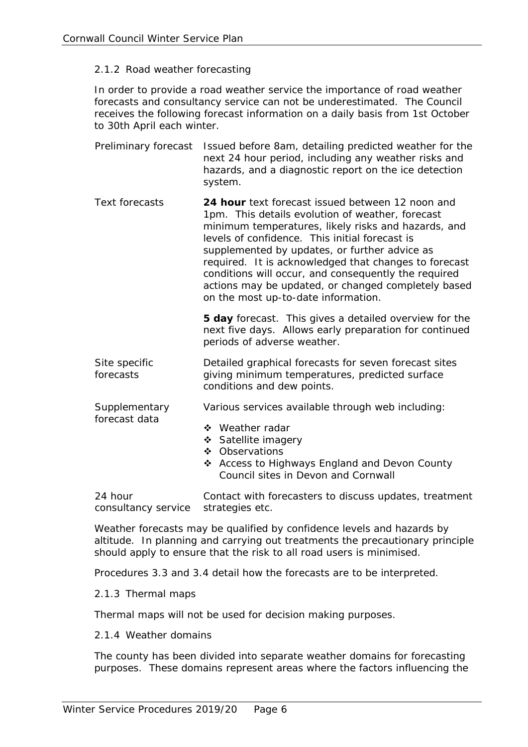#### 2.1.2 Road weather forecasting

In order to provide a road weather service the importance of road weather forecasts and consultancy service can not be underestimated. The Council receives the following forecast information on a daily basis from 1st October to 30th April each winter.

- Preliminary forecast Issued before 8am, detailing predicted weather for the next 24 hour period, including any weather risks and hazards, and a diagnostic report on the ice detection system.
- Text forecasts **24 hour** text forecast issued between 12 noon and 1pm. This details evolution of weather, forecast minimum temperatures, likely risks and hazards, and levels of confidence. This initial forecast is supplemented by updates, or further advice as required. It is acknowledged that changes to forecast conditions will occur, and consequently the required actions may be updated, or changed completely based on the most up-to-date information.

**5 day** forecast. This gives a detailed overview for the next five days. Allows early preparation for continued periods of adverse weather.

Site specific forecasts Detailed graphical forecasts for seven forecast sites giving minimum temperatures, predicted surface conditions and dew points.

**Supplementary** Various services available through web including:

- ❖ Weather radar
- ❖ Satellite imagery
- ❖ Observations
- ❖ Access to Highways England and Devon County Council sites in Devon and Cornwall

24 hour consultancy service strategies etc. Contact with forecasters to discuss updates, treatment

Weather forecasts may be qualified by confidence levels and hazards by altitude. In planning and carrying out treatments the precautionary principle should apply to ensure that the risk to all road users is minimised.

Procedures 3.3 and 3.4 detail how the forecasts are to be interpreted.

2.1.3 Thermal maps

forecast data

Thermal maps will not be used for decision making purposes.

#### 2.1.4 Weather domains

The county has been divided into separate weather domains for forecasting purposes. These domains represent areas where the factors influencing the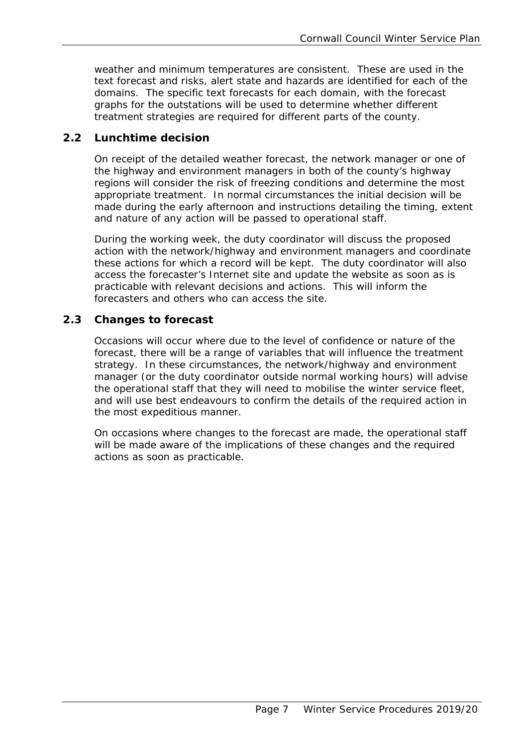weather and minimum temperatures are consistent. These are used in the text forecast and risks, alert state and hazards are identified for each of the domains. The specific text forecasts for each domain, with the forecast graphs for the outstations will be used to determine whether different treatment strategies are required for different parts of the county.

# **2.2 Lunchtime decision**

On receipt of the detailed weather forecast, the network manager or one of the highway and environment managers in both of the county's highway regions will consider the risk of freezing conditions and determine the most appropriate treatment. In normal circumstances the initial decision will be made during the early afternoon and instructions detailing the timing, extent and nature of any action will be passed to operational staff.

During the working week, the duty coordinator will discuss the proposed action with the network/highway and environment managers and coordinate these actions for which a record will be kept. The duty coordinator will also access the forecaster's Internet site and update the website as soon as is practicable with relevant decisions and actions. This will inform the forecasters and others who can access the site.

# **2.3 Changes to forecast**

 Occasions will occur where due to the level of confidence or nature of the forecast, there will be a range of variables that will influence the treatment strategy. In these circumstances, the network/highway and environment manager (or the duty coordinator outside normal working hours) will advise the operational staff that they will need to mobilise the winter service fleet, and will use best endeavours to confirm the details of the required action in the most expeditious manner.

On occasions where changes to the forecast are made, the operational staff will be made aware of the implications of these changes and the required actions as soon as practicable.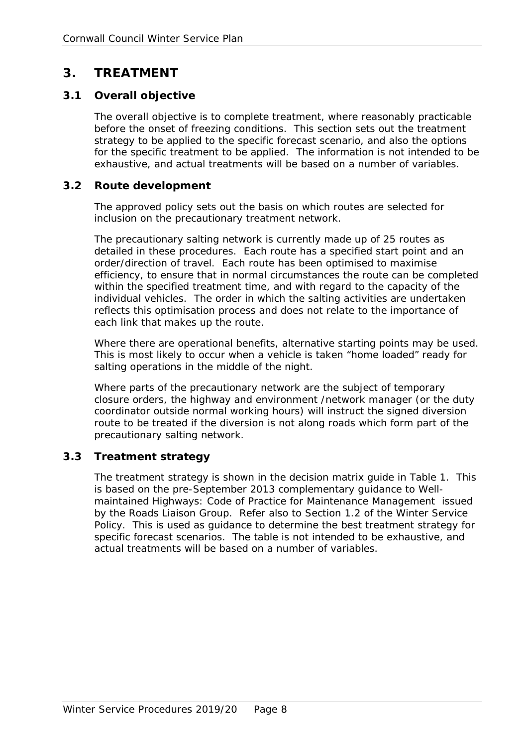# **3. TREATMENT**

# **3.1 Overall objective**

 for the specific treatment to be applied. The information is not intended to be The overall objective is to complete treatment, where reasonably practicable before the onset of freezing conditions. This section sets out the treatment strategy to be applied to the specific forecast scenario, and also the options exhaustive, and actual treatments will be based on a number of variables.

# **3.2 Route development**

The approved policy sets out the basis on which routes are selected for inclusion on the precautionary treatment network.

 The precautionary salting network is currently made up of 25 routes as reflects this optimisation process and does not relate to the importance of detailed in these procedures. Each route has a specified start point and an order/direction of travel. Each route has been optimised to maximise efficiency, to ensure that in normal circumstances the route can be completed within the specified treatment time, and with regard to the capacity of the individual vehicles. The order in which the salting activities are undertaken each link that makes up the route.

Where there are operational benefits, alternative starting points may be used. This is most likely to occur when a vehicle is taken "home loaded" ready for salting operations in the middle of the night.

Where parts of the precautionary network are the subject of temporary closure orders, the highway and environment /network manager (or the duty coordinator outside normal working hours) will instruct the signed diversion route to be treated if the diversion is not along roads which form part of the precautionary salting network.

# **3.3 Treatment strategy**

The treatment strategy is shown in the decision matrix guide in Table 1. This is based on the pre-September 2013 complementary guidance to *Wellmaintained Highways: Code of Practice for Maintenance Management* issued by the Roads Liaison Group. Refer also to Section 1.2 of the Winter Service Policy. This is used as guidance to determine the best treatment strategy for specific forecast scenarios. The table is not intended to be exhaustive, and actual treatments will be based on a number of variables.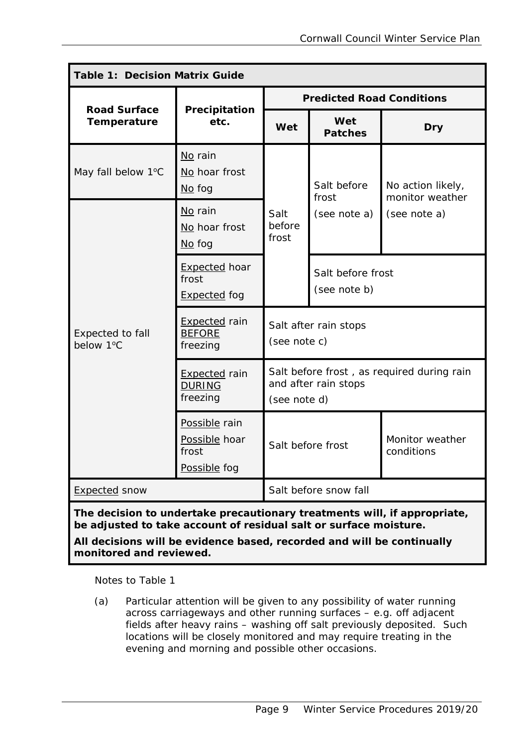| <b>Table 1: Decision Matrix Guide</b> |                                                           |                                                                                    |                                      |                               |  |                                      |
|---------------------------------------|-----------------------------------------------------------|------------------------------------------------------------------------------------|--------------------------------------|-------------------------------|--|--------------------------------------|
| <b>Road Surface</b>                   |                                                           | <b>Predicted Road Conditions</b>                                                   |                                      |                               |  |                                      |
| Temperature                           | Precipitation<br>etc.                                     | Wet                                                                                | Wet<br><b>Patches</b>                | <b>Dry</b>                    |  |                                      |
| May fall below 1°C                    | No rain<br>No hoar frost<br>$\underline{\mathsf{No}}$ fog | Salt<br>before<br>frost                                                            | Salt before<br>frost<br>(see note a) |                               |  | No action likely,<br>monitor weather |
|                                       | No rain<br>No hoar frost<br>$No$ fog                      |                                                                                    |                                      | (see note a)                  |  |                                      |
|                                       | <b>Expected hoar</b><br>frost<br><b>Expected</b> fog      |                                                                                    | Salt before frost<br>(see note b)    |                               |  |                                      |
| Expected to fall<br>below 1°C         | <b>Expected</b> rain<br><b>BEFORE</b><br>freezing         | Salt after rain stops<br>(see note c)                                              |                                      |                               |  |                                      |
|                                       | <b>Expected</b> rain<br><b>DURING</b><br>freezing         | Salt before frost, as required during rain<br>and after rain stops<br>(see note d) |                                      |                               |  |                                      |
|                                       | Possible rain<br>Possible hoar<br>frost<br>Possible fog   | Salt before frost                                                                  |                                      | Monitor weather<br>conditions |  |                                      |
| <b>Expected snow</b>                  |                                                           | Salt before snow fall                                                              |                                      |                               |  |                                      |

*The decision to undertake precautionary treatments will, if appropriate, be adjusted to take account of residual salt or surface moisture.* 

*All decisions will be evidence based, recorded and will be continually monitored and reviewed.* 

Notes to Table 1

 fields after heavy rains – washing off salt previously deposited. Such (a) Particular attention will be given to any possibility of water running across carriageways and other running surfaces – e.g. off adjacent locations will be closely monitored and may require treating in the evening and morning and possible other occasions.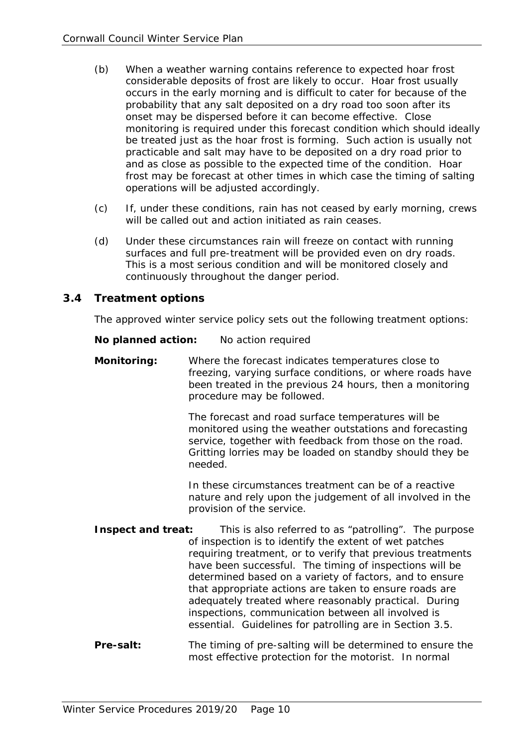- be treated just as the hoar frost is forming. Such action is usually not (b) When a weather warning contains reference to expected hoar frost considerable deposits of frost are likely to occur. Hoar frost usually occurs in the early morning and is difficult to cater for because of the probability that any salt deposited on a dry road too soon after its onset may be dispersed before it can become effective. Close monitoring is required under this forecast condition which should ideally practicable and salt may have to be deposited on a dry road prior to and as close as possible to the expected time of the condition. Hoar frost may be forecast at other times in which case the timing of salting operations will be adjusted accordingly.
- (c) If, under these conditions, rain has not ceased by early morning, crews will be called out and action initiated as rain ceases.
- (d) Under these circumstances rain will freeze on contact with running surfaces and full pre-treatment will be provided even on dry roads. This is a most serious condition and will be monitored closely and continuously throughout the danger period.

#### **3.4 Treatment options**

The approved winter service policy sets out the following treatment options:

**No planned action:** No action required

**Monitoring:** Where the forecast indicates temperatures close to freezing, varying surface conditions, or where roads have been treated in the previous 24 hours, then a monitoring procedure may be followed.

> The forecast and road surface temperatures will be monitored using the weather outstations and forecasting service, together with feedback from those on the road. Gritting lorries may be loaded on standby should they be needed.

> In these circumstances treatment can be of a reactive nature and rely upon the judgement of all involved in the provision of the service.

- **Inspect and treat:** This is also referred to as "patrolling". The purpose of inspection is to identify the extent of wet patches requiring treatment, or to verify that previous treatments have been successful. The timing of inspections will be determined based on a variety of factors, and to ensure that appropriate actions are taken to ensure roads are adequately treated where reasonably practical. During inspections, communication between all involved is essential. Guidelines for patrolling are in Section 3.5.
- **Pre-salt:** The timing of pre-salting will be determined to ensure the most effective protection for the motorist. In normal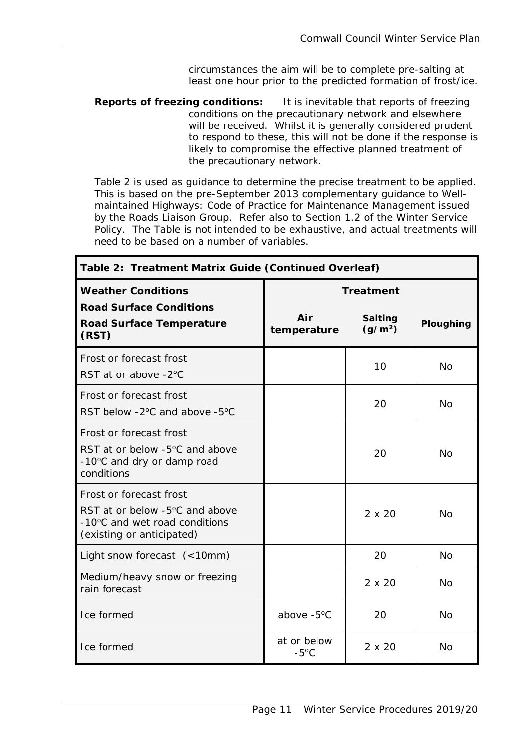circumstances the aim will be to complete pre-salting at least one hour prior to the predicted formation of frost/ice.

**Reports of freezing conditions:** It is inevitable that reports of freezing conditions on the precautionary network and elsewhere will be received. Whilst it is generally considered prudent to respond to these, this will not be done if the response is likely to compromise the effective planned treatment of the precautionary network.

Table 2 is used as guidance to determine the precise treatment to be applied. This is based on the pre-September 2013 complementary guidance to *Wellmaintained Highways: Code of Practice for Maintenance Management* issued by the Roads Liaison Group. Refer also to Section 1.2 of the Winter Service Policy. The Table is not intended to be exhaustive, and actual treatments will need to be based on a number of variables.

| Table 2: Treatment Matrix Guide (Continued Overleaf)                                                                                 |                               |                                       |           |  |
|--------------------------------------------------------------------------------------------------------------------------------------|-------------------------------|---------------------------------------|-----------|--|
| <b>Weather Conditions</b>                                                                                                            | <b>Treatment</b>              |                                       |           |  |
| <b>Road Surface Conditions</b><br><b>Road Surface Temperature</b><br>(RST)                                                           | Air<br>temperature            | <b>Salting</b><br>(g/m <sup>2</sup> ) | Ploughing |  |
| Frost or forecast frost<br>RST at or above -2°C                                                                                      |                               | 10                                    | <b>No</b> |  |
| Frost or forecast frost<br>RST below -2°C and above -5°C                                                                             |                               | 20                                    | <b>No</b> |  |
| Frost or forecast frost<br>RST at or below $-5^{\circ}$ C and above<br>-10°C and dry or damp road<br>conditions                      |                               | 20                                    | <b>No</b> |  |
| Frost or forecast frost<br>RST at or below -5 <sup>o</sup> C and above<br>-10°C and wet road conditions<br>(existing or anticipated) |                               | $2 \times 20$                         | <b>No</b> |  |
| Light snow forecast (<10mm)                                                                                                          |                               | 20                                    | <b>No</b> |  |
| Medium/heavy snow or freezing<br>rain forecast                                                                                       |                               | $2 \times 20$                         | <b>No</b> |  |
| Ice formed                                                                                                                           | above -5°C                    | 20                                    | <b>No</b> |  |
| Ice formed                                                                                                                           | at or below<br>$-5^{\circ}$ C | $2 \times 20$                         | <b>No</b> |  |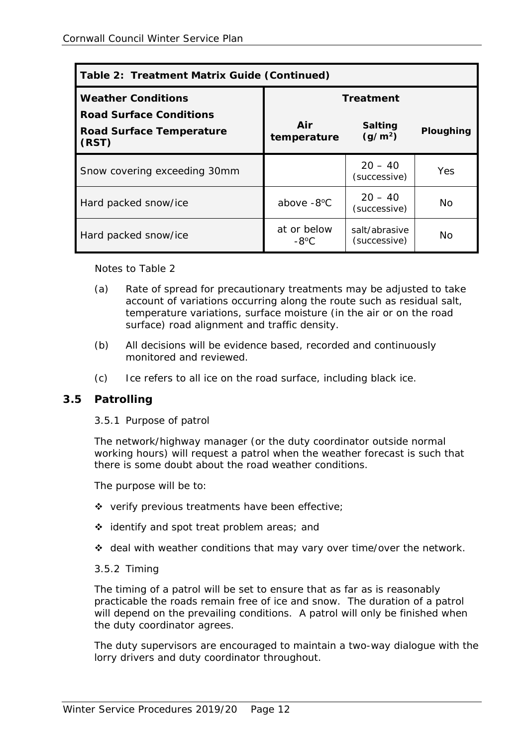| Table 2: Treatment Matrix Guide (Continued)                                |                               |                                       |           |  |
|----------------------------------------------------------------------------|-------------------------------|---------------------------------------|-----------|--|
| <b>Weather Conditions</b>                                                  | <b>Treatment</b>              |                                       |           |  |
| <b>Road Surface Conditions</b><br><b>Road Surface Temperature</b><br>(RST) | Air<br>temperature            | <b>Salting</b><br>(g/m <sup>2</sup> ) | Ploughing |  |
| Snow covering exceeding 30mm                                               |                               | $20 - 40$<br>(successive)             | Yes.      |  |
| Hard packed snow/ice                                                       | above -8°C                    | $20 - 40$<br>(successive)             | Nο        |  |
| Hard packed snow/ice                                                       | at or below<br>$-8^{\circ}$ C | salt/abrasive<br>(successive)         | No        |  |

Notes to Table 2

- (a) Rate of spread for precautionary treatments may be adjusted to take account of variations occurring along the route such as residual salt, temperature variations, surface moisture (in the air or on the road surface) road alignment and traffic density.
- (b) All decisions will be evidence based, recorded and continuously monitored and reviewed.
- (c) Ice refers to all ice on the road surface, including black ice.

# **3.5 Patrolling**

3.5.1 Purpose of patrol

The network/highway manager (or the duty coordinator outside normal working hours) will request a patrol when the weather forecast is such that there is some doubt about the road weather conditions.

The purpose will be to:

- $\div$  verify previous treatments have been effective;
- $\div$  identify and spot treat problem areas; and
- deal with weather conditions that may vary over time/over the network.

#### 3.5.2 Timing

The timing of a patrol will be set to ensure that as far as is reasonably practicable the roads remain free of ice and snow. The duration of a patrol will depend on the prevailing conditions. A patrol will only be finished when the duty coordinator agrees.

The duty supervisors are encouraged to maintain a two-way dialogue with the lorry drivers and duty coordinator throughout.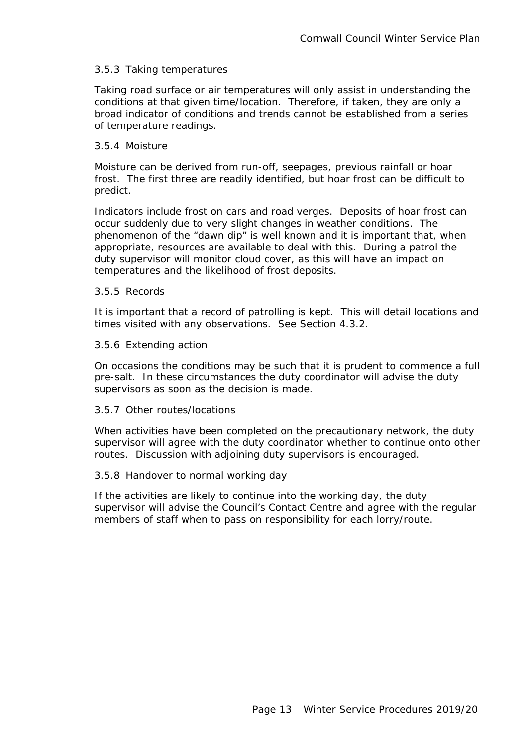#### 3.5.3 Taking temperatures

Taking road surface or air temperatures will only assist in understanding the conditions at that given time/location. Therefore, if taken, they are only a broad indicator of conditions and trends cannot be established from a series of temperature readings.

#### 3.5.4 Moisture

 frost. The first three are readily identified, but hoar frost can be difficult to Moisture can be derived from run-off, seepages, previous rainfall or hoar predict.

Indicators include frost on cars and road verges. Deposits of hoar frost can occur suddenly due to very slight changes in weather conditions. The phenomenon of the "dawn dip" is well known and it is important that, when appropriate, resources are available to deal with this. During a patrol the duty supervisor will monitor cloud cover, as this will have an impact on temperatures and the likelihood of frost deposits.

#### 3.5.5 Records

It is important that a record of patrolling is kept. This will detail locations and times visited with any observations. See Section 4.3.2.

#### 3.5.6 Extending action

On occasions the conditions may be such that it is prudent to commence a full pre-salt. In these circumstances the duty coordinator will advise the duty supervisors as soon as the decision is made.

#### 3.5.7 Other routes/locations

When activities have been completed on the precautionary network, the duty supervisor will agree with the duty coordinator whether to continue onto other routes. Discussion with adjoining duty supervisors is encouraged.

#### 3.5.8 Handover to normal working day

If the activities are likely to continue into the working day, the duty supervisor will advise the Council's Contact Centre and agree with the regular members of staff when to pass on responsibility for each lorry/route.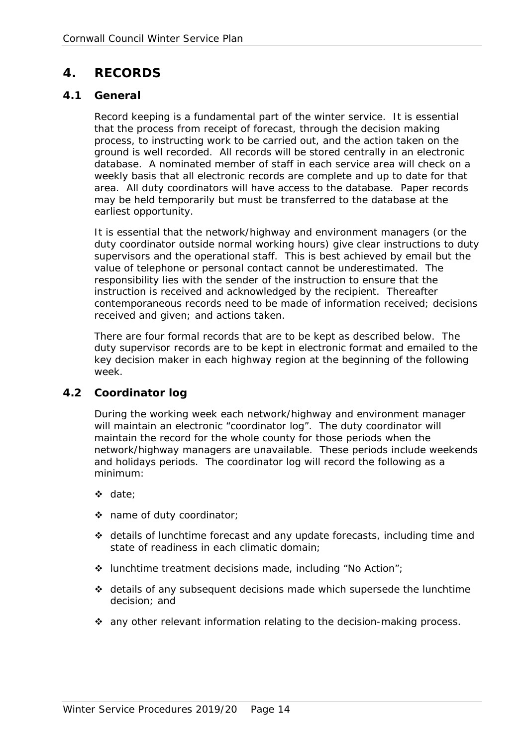# **4. RECORDS**

#### **4.1 General**

Record keeping is a fundamental part of the winter service. It is essential that the process from receipt of forecast, through the decision making process, to instructing work to be carried out, and the action taken on the ground is well recorded. All records will be stored centrally in an electronic database. A nominated member of staff in each service area will check on a weekly basis that all electronic records are complete and up to date for that area. All duty coordinators will have access to the database. Paper records may be held temporarily but must be transferred to the database at the earliest opportunity.

It is essential that the network/highway and environment managers (or the duty coordinator outside normal working hours) give clear instructions to duty supervisors and the operational staff. This is best achieved by email but the value of telephone or personal contact cannot be underestimated. The responsibility lies with the sender of the instruction to ensure that the instruction is received and acknowledged by the recipient. Thereafter contemporaneous records need to be made of information received; decisions received and given; and actions taken.

There are four formal records that are to be kept as described below. The duty supervisor records are to be kept in electronic format and emailed to the key decision maker in each highway region at the beginning of the following week.

# **4.2 Coordinator log**

During the working week each network/highway and environment manager will maintain an electronic "coordinator log". The duty coordinator will maintain the record for the whole county for those periods when the network/highway managers are unavailable. These periods include weekends and holidays periods. The coordinator log will record the following as a minimum:

- date;
- name of duty coordinator;
- details of lunchtime forecast and any update forecasts, including time and state of readiness in each climatic domain;
- $\cdot$  lunchtime treatment decisions made, including "No Action";
- $\div$  details of any subsequent decisions made which supersede the lunchtime decision; and
- $\div$  any other relevant information relating to the decision-making process.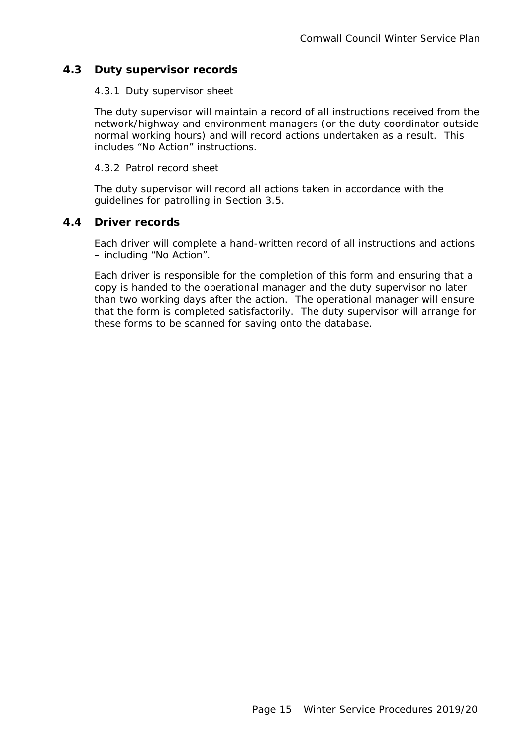# **4.3 Duty supervisor records**

#### 4.3.1 Duty supervisor sheet

The duty supervisor will maintain a record of all instructions received from the network/highway and environment managers (or the duty coordinator outside normal working hours) and will record actions undertaken as a result. This includes "No Action" instructions.

#### 4.3.2 Patrol record sheet

The duty supervisor will record all actions taken in accordance with the guidelines for patrolling in Section 3.5.

# **4.4 Driver records**

Each driver will complete a hand-written record of all instructions and actions – including "No Action".

Each driver is responsible for the completion of this form and ensuring that a copy is handed to the operational manager and the duty supervisor no later than two working days after the action. The operational manager will ensure that the form is completed satisfactorily. The duty supervisor will arrange for these forms to be scanned for saving onto the database.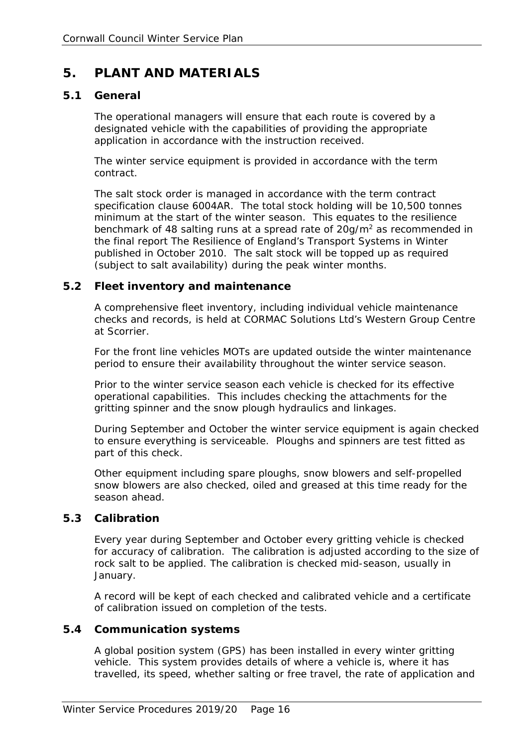# **5. PLANT AND MATERIALS**

#### **5.1 General**

The operational managers will ensure that each route is covered by a designated vehicle with the capabilities of providing the appropriate application in accordance with the instruction received.

The winter service equipment is provided in accordance with the term contract.

 The salt stock order is managed in accordance with the term contract specification clause 6004AR. The total stock holding will be 10,500 tonnes benchmark of 48 salting runs at a spread rate of  $20g/m<sup>2</sup>$  as recommended in minimum at the start of the winter season. This equates to the resilience the final report *The Resilience of England's Transport Systems in Winter*  published in October 2010. The salt stock will be topped up as required (subject to salt availability) during the peak winter months.

#### **5.2 Fleet inventory and maintenance**

A comprehensive fleet inventory, including individual vehicle maintenance checks and records, is held at CORMAC Solutions Ltd's Western Group Centre at Scorrier.

For the front line vehicles MOTs are updated outside the winter maintenance period to ensure their availability throughout the winter service season.

Prior to the winter service season each vehicle is checked for its effective operational capabilities. This includes checking the attachments for the gritting spinner and the snow plough hydraulics and linkages.

 to ensure everything is serviceable. Ploughs and spinners are test fitted as During September and October the winter service equipment is again checked part of this check.

Other equipment including spare ploughs, snow blowers and self-propelled snow blowers are also checked, oiled and greased at this time ready for the season ahead.

# **5.3 Calibration**

Every year during September and October every gritting vehicle is checked for accuracy of calibration. The calibration is adjusted according to the size of rock salt to be applied. The calibration is checked mid-season, usually in January.

A record will be kept of each checked and calibrated vehicle and a certificate of calibration issued on completion of the tests.

#### **5.4 Communication systems**

A global position system (GPS) has been installed in every winter gritting vehicle. This system provides details of where a vehicle is, where it has travelled, its speed, whether salting or free travel, the rate of application and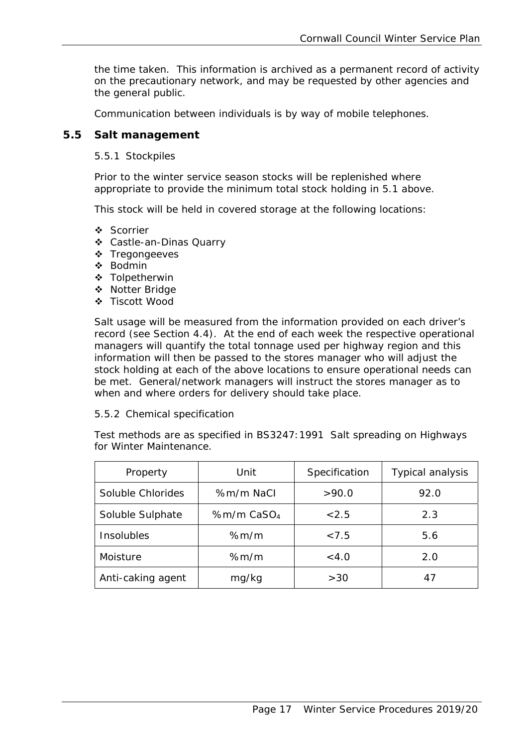the time taken. This information is archived as a permanent record of activity on the precautionary network, and may be requested by other agencies and the general public.

Communication between individuals is by way of mobile telephones.

## **5.5 Salt management**

5.5.1 Stockpiles

Prior to the winter service season stocks will be replenished where appropriate to provide the minimum total stock holding in 5.1 above.

This stock will be held in covered storage at the following locations:

- Scorrier
- Castle-an-Dinas Quarry
- \* Tregongeeves
- Bodmin
- Tolpetherwin
- ❖ Notter Bridge
- Tiscott Wood

Salt usage will be measured from the information provided on each driver's record (see Section 4.4). At the end of each week the respective operational managers will quantify the total tonnage used per highway region and this information will then be passed to the stores manager who will adjust the stock holding at each of the above locations to ensure operational needs can be met. General/network managers will instruct the stores manager as to when and where orders for delivery should take place.

#### 5.5.2 Chemical specification

Test methods are as specified in BS3247:1991 *Salt spreading on Highways for Winter Maintenance.* 

| Property          | Unit                     | Specification | Typical analysis |
|-------------------|--------------------------|---------------|------------------|
| Soluble Chlorides | %m/m NaCl                | >90.0         | 92.0             |
| Soluble Sulphate  | $%m/m$ CaSO <sub>4</sub> | < 2.5         | 2.3              |
| Insolubles        | % $m/m$                  | < 7.5         | 5.6              |
| Moisture          | % $m/m$                  | < 4.0         | 2.0              |
| Anti-caking agent | mg/kg                    | >30           | 47               |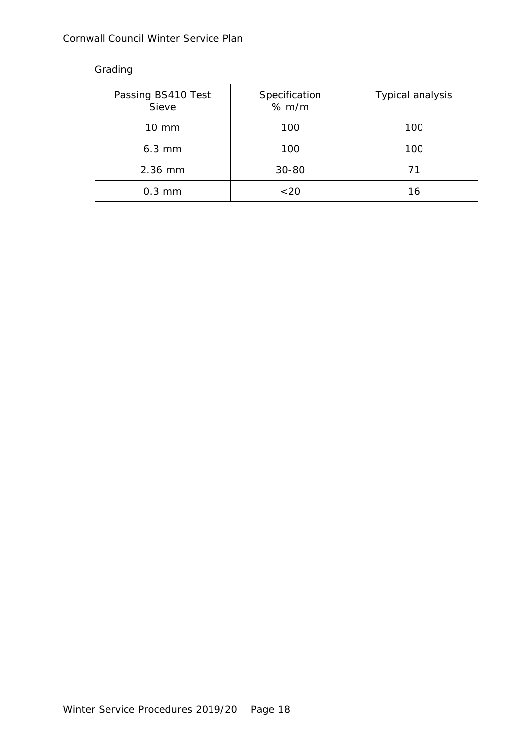# Grading

| Passing BS410 Test<br>Sieve | Specification<br>% m/m | <b>Typical analysis</b> |
|-----------------------------|------------------------|-------------------------|
| $10 \text{ mm}$             | 100                    | 100                     |
| $6.3$ mm                    | 100                    | 100                     |
| 2.36 mm                     | 30-80                  | 71                      |
| $0.3$ mm                    | $~<$ 20                | 16                      |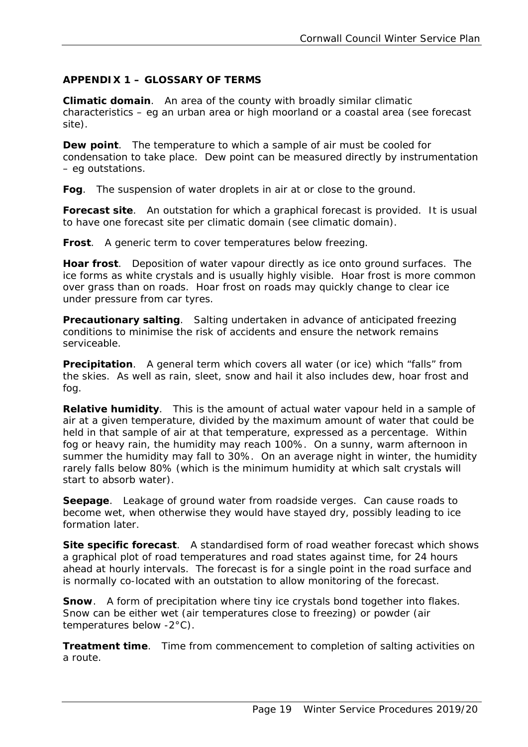# **APPENDIX 1 – GLOSSARY OF TERMS**

*Climatic domain*. An area of the county with broadly similar climatic characteristics – eg an urban area or high moorland or a coastal area (see forecast site).

*Dew point*. The temperature to which a sample of air must be cooled for condensation to take place. Dew point can be measured directly by instrumentation – eg outstations.

*Fog*. The suspension of water droplets in air at or close to the ground.

*Forecast site*. An outstation for which a graphical forecast is provided. It is usual to have one forecast site per climatic domain (see climatic domain).

*Frost*. A generic term to cover temperatures below freezing.

*Hoar frost*. Deposition of water vapour directly as ice onto ground surfaces. The ice forms as white crystals and is usually highly visible. Hoar frost is more common over grass than on roads. Hoar frost on roads may quickly change to clear ice under pressure from car tyres.

*Precautionary salting*. Salting undertaken in advance of anticipated freezing conditions to minimise the risk of accidents and ensure the network remains serviceable.

 the skies. As well as rain, sleet, snow and hail it also includes dew, hoar frost and *Precipitation*. A general term which covers all water (or ice) which "falls" from fog.

 fog or heavy rain, the humidity may reach 100%. On a sunny, warm afternoon in *Relative humidity*. This is the amount of actual water vapour held in a sample of air at a given temperature, divided by the maximum amount of water that could be held in that sample of air at that temperature, expressed as a percentage. Within summer the humidity may fall to 30%. On an average night in winter, the humidity rarely falls below 80% (which is the minimum humidity at which salt crystals will start to absorb water).

**Seepage**. Leakage of ground water from roadside verges. Can cause roads to become wet, when otherwise they would have stayed dry, possibly leading to ice formation later.

**Site specific forecast**. A standardised form of road weather forecast which shows a graphical plot of road temperatures and road states against time, for 24 hours ahead at hourly intervals. The forecast is for a single point in the road surface and is normally co-located with an outstation to allow monitoring of the forecast.

**Snow**. A form of precipitation where tiny ice crystals bond together into flakes. Snow can be either wet (air temperatures close to freezing) or powder (air temperatures below -2°C).

*Treatment time.* Time from commencement to completion of salting activities on a route.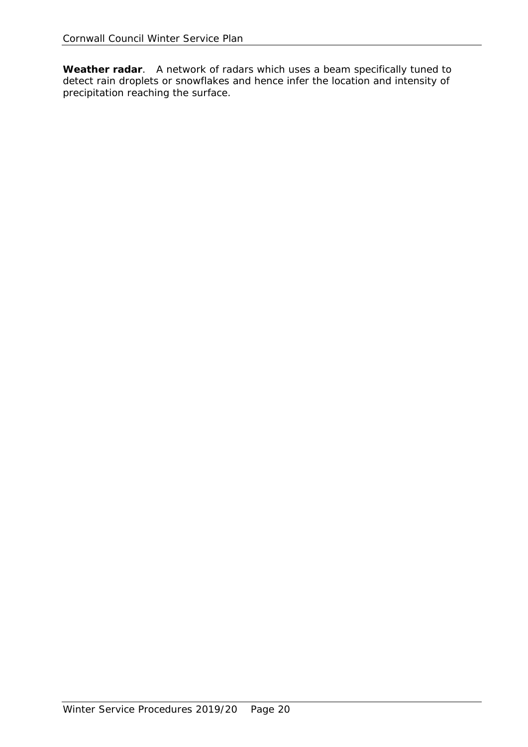*Weather radar*. A network of radars which uses a beam specifically tuned to detect rain droplets or snowflakes and hence infer the location and intensity of precipitation reaching the surface.